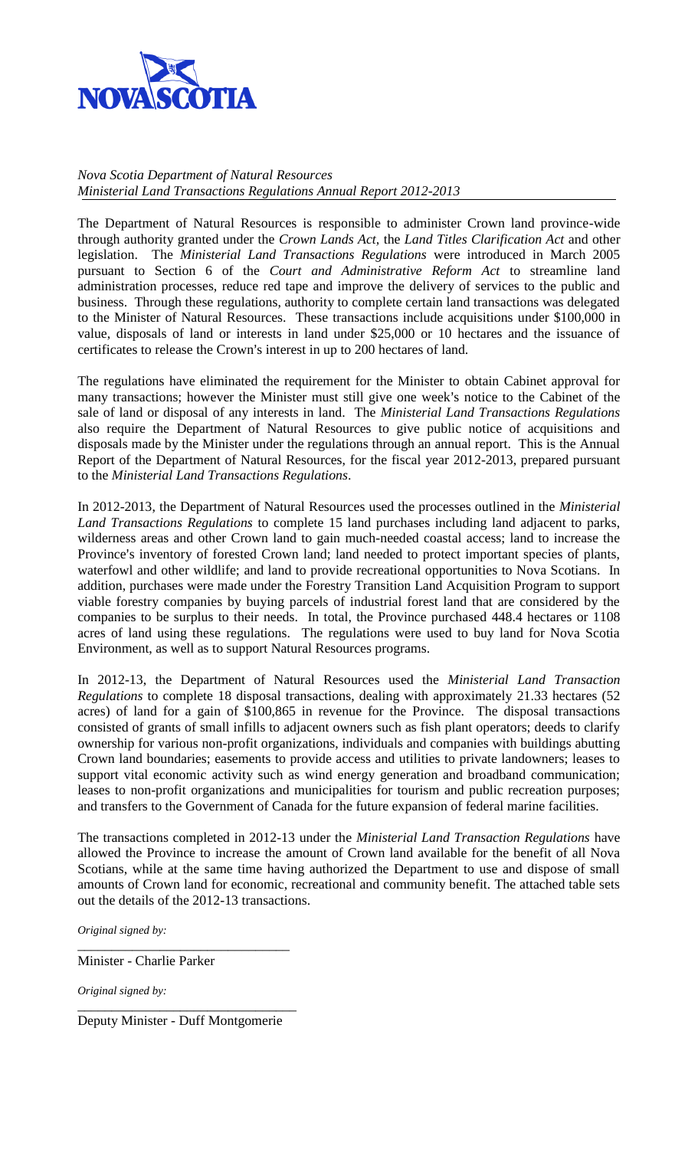

*Nova Scotia Department of Natural Resources Ministerial Land Transactions Regulations Annual Report 2012-2013*

The Department of Natural Resources is responsible to administer Crown land province-wide through authority granted under the *Crown Lands Act,* the *Land Titles Clarification Act* and other legislation. The *Ministerial Land Transactions Regulations* were introduced in March 2005 pursuant to Section 6 of the *Court and Administrative Reform Act* to streamline land administration processes, reduce red tape and improve the delivery of services to the public and business. Through these regulations, authority to complete certain land transactions was delegated to the Minister of Natural Resources. These transactions include acquisitions under \$100,000 in value, disposals of land or interests in land under \$25,000 or 10 hectares and the issuance of certificates to release the Crown's interest in up to 200 hectares of land.

The regulations have eliminated the requirement for the Minister to obtain Cabinet approval for many transactions; however the Minister must still give one week's notice to the Cabinet of the sale of land or disposal of any interests in land. The *Ministerial Land Transactions Regulations* also require the Department of Natural Resources to give public notice of acquisitions and disposals made by the Minister under the regulations through an annual report. This is the Annual Report of the Department of Natural Resources, for the fiscal year 2012-2013, prepared pursuant to the *Ministerial Land Transactions Regulations*.

In 2012-2013, the Department of Natural Resources used the processes outlined in the *Ministerial Land Transactions Regulations* to complete 15 land purchases including land adjacent to parks, wilderness areas and other Crown land to gain much-needed coastal access; land to increase the Province's inventory of forested Crown land; land needed to protect important species of plants, waterfowl and other wildlife; and land to provide recreational opportunities to Nova Scotians. In addition, purchases were made under the Forestry Transition Land Acquisition Program to support viable forestry companies by buying parcels of industrial forest land that are considered by the companies to be surplus to their needs. In total, the Province purchased 448.4 hectares or 1108 acres of land using these regulations. The regulations were used to buy land for Nova Scotia Environment, as well as to support Natural Resources programs.

In 2012-13, the Department of Natural Resources used the *Ministerial Land Transaction Regulations* to complete 18 disposal transactions, dealing with approximately 21.33 hectares (52 acres) of land for a gain of \$100,865 in revenue for the Province. The disposal transactions consisted of grants of small infills to adjacent owners such as fish plant operators; deeds to clarify ownership for various non-profit organizations, individuals and companies with buildings abutting Crown land boundaries; easements to provide access and utilities to private landowners; leases to support vital economic activity such as wind energy generation and broadband communication; leases to non-profit organizations and municipalities for tourism and public recreation purposes; and transfers to the Government of Canada for the future expansion of federal marine facilities.

The transactions completed in 2012-13 under the *Ministerial Land Transaction Regulations* have allowed the Province to increase the amount of Crown land available for the benefit of all Nova Scotians, while at the same time having authorized the Department to use and dispose of small amounts of Crown land for economic, recreational and community benefit. The attached table sets out the details of the 2012-13 transactions.

*Original signed by:*

\_\_\_\_\_\_\_\_\_\_\_\_\_\_\_\_\_\_\_\_\_\_\_\_\_\_\_\_\_\_\_ Minister - Charlie Parker

*Original signed by:* \_\_\_\_\_\_\_\_\_\_\_\_\_\_\_\_\_\_\_\_\_\_\_\_\_\_\_\_\_\_\_\_

Deputy Minister - Duff Montgomerie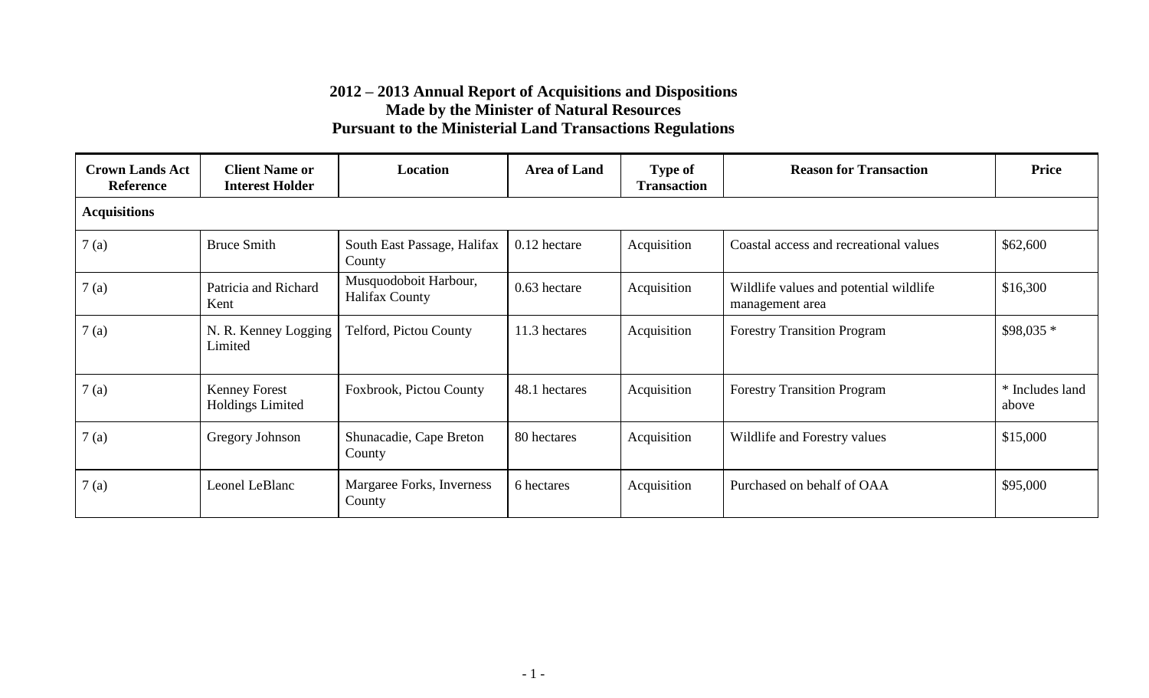| <b>Crown Lands Act</b><br><b>Reference</b> | <b>Client Name or</b><br><b>Interest Holder</b> | Location                                       | <b>Area of Land</b> | <b>Type of</b><br><b>Transaction</b> | <b>Reason for Transaction</b>                             | Price                    |
|--------------------------------------------|-------------------------------------------------|------------------------------------------------|---------------------|--------------------------------------|-----------------------------------------------------------|--------------------------|
| <b>Acquisitions</b>                        |                                                 |                                                |                     |                                      |                                                           |                          |
| 7(a)                                       | <b>Bruce Smith</b>                              | South East Passage, Halifax<br>County          | 0.12 hectare        | Acquisition                          | Coastal access and recreational values                    | \$62,600                 |
| 7(a)                                       | Patricia and Richard<br>Kent                    | Musquodoboit Harbour,<br><b>Halifax County</b> | 0.63 hectare        | Acquisition                          | Wildlife values and potential wildlife<br>management area | \$16,300                 |
| 7(a)                                       | N. R. Kenney Logging<br>Limited                 | Telford, Pictou County                         | 11.3 hectares       | Acquisition                          | <b>Forestry Transition Program</b>                        | $$98,035*$               |
| 7(a)                                       | <b>Kenney Forest</b><br>Holdings Limited        | Foxbrook, Pictou County                        | 48.1 hectares       | Acquisition                          | <b>Forestry Transition Program</b>                        | * Includes land<br>above |
| 7(a)                                       | Gregory Johnson                                 | Shunacadie, Cape Breton<br>County              | 80 hectares         | Acquisition                          | Wildlife and Forestry values                              | \$15,000                 |
| 7(a)                                       | Leonel LeBlanc                                  | Margaree Forks, Inverness<br>County            | 6 hectares          | Acquisition                          | Purchased on behalf of OAA                                | \$95,000                 |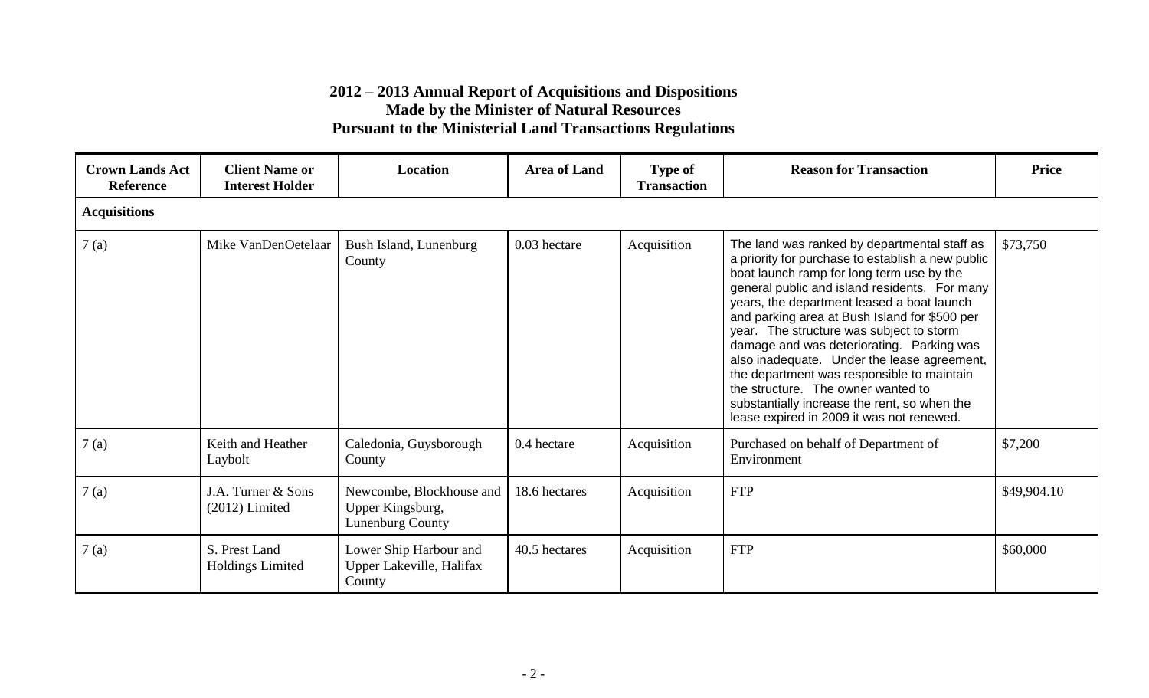| <b>Crown Lands Act</b><br><b>Reference</b> | <b>Client Name or</b><br><b>Interest Holder</b> | Location                                                                | <b>Area of Land</b> | <b>Type of</b><br><b>Transaction</b> | <b>Reason for Transaction</b>                                                                                                                                                                                                                                                                                                                                                                                                                                                                                                                                                                                           | <b>Price</b> |
|--------------------------------------------|-------------------------------------------------|-------------------------------------------------------------------------|---------------------|--------------------------------------|-------------------------------------------------------------------------------------------------------------------------------------------------------------------------------------------------------------------------------------------------------------------------------------------------------------------------------------------------------------------------------------------------------------------------------------------------------------------------------------------------------------------------------------------------------------------------------------------------------------------------|--------------|
| <b>Acquisitions</b>                        |                                                 |                                                                         |                     |                                      |                                                                                                                                                                                                                                                                                                                                                                                                                                                                                                                                                                                                                         |              |
| 7(a)                                       | Mike VanDenOetelaar                             | Bush Island, Lunenburg<br>County                                        | 0.03 hectare        | Acquisition                          | The land was ranked by departmental staff as<br>a priority for purchase to establish a new public<br>boat launch ramp for long term use by the<br>general public and island residents. For many<br>years, the department leased a boat launch<br>and parking area at Bush Island for \$500 per<br>year. The structure was subject to storm<br>damage and was deteriorating. Parking was<br>also inadequate. Under the lease agreement,<br>the department was responsible to maintain<br>the structure. The owner wanted to<br>substantially increase the rent, so when the<br>lease expired in 2009 it was not renewed. | \$73,750     |
| 7(a)                                       | Keith and Heather<br>Laybolt                    | Caledonia, Guysborough<br>County                                        | 0.4 hectare         | Acquisition                          | Purchased on behalf of Department of<br>Environment                                                                                                                                                                                                                                                                                                                                                                                                                                                                                                                                                                     | \$7,200      |
| 7(a)                                       | J.A. Turner & Sons<br>$(2012)$ Limited          | Newcombe, Blockhouse and<br>Upper Kingsburg,<br><b>Lunenburg County</b> | 18.6 hectares       | Acquisition                          | <b>FTP</b>                                                                                                                                                                                                                                                                                                                                                                                                                                                                                                                                                                                                              | \$49,904.10  |
| 7(a)                                       | S. Prest Land<br><b>Holdings Limited</b>        | Lower Ship Harbour and<br>Upper Lakeville, Halifax<br>County            | 40.5 hectares       | Acquisition                          | <b>FTP</b>                                                                                                                                                                                                                                                                                                                                                                                                                                                                                                                                                                                                              | \$60,000     |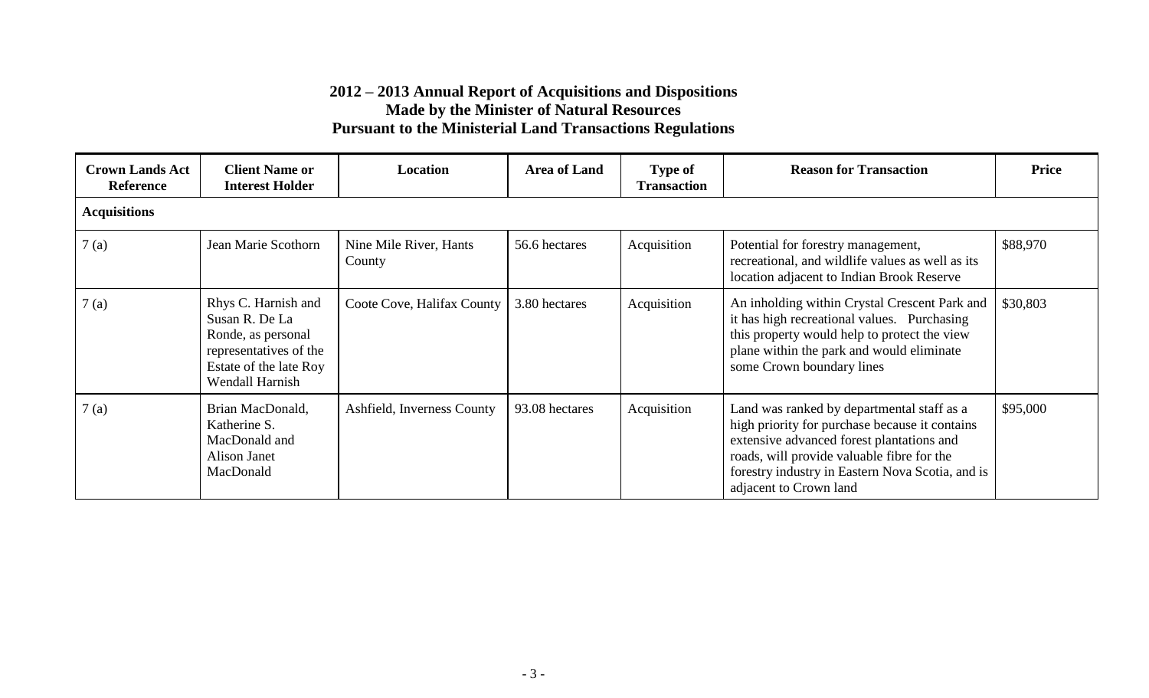| <b>Crown Lands Act</b><br><b>Reference</b> | <b>Client Name or</b><br><b>Interest Holder</b>                                                                                    | Location                         | <b>Area of Land</b> | <b>Type of</b><br><b>Transaction</b> | <b>Reason for Transaction</b>                                                                                                                                                                                                                                         | <b>Price</b> |
|--------------------------------------------|------------------------------------------------------------------------------------------------------------------------------------|----------------------------------|---------------------|--------------------------------------|-----------------------------------------------------------------------------------------------------------------------------------------------------------------------------------------------------------------------------------------------------------------------|--------------|
| <b>Acquisitions</b>                        |                                                                                                                                    |                                  |                     |                                      |                                                                                                                                                                                                                                                                       |              |
| 7(a)                                       | Jean Marie Scothorn                                                                                                                | Nine Mile River, Hants<br>County | 56.6 hectares       | Acquisition                          | Potential for forestry management,<br>recreational, and wildlife values as well as its<br>location adjacent to Indian Brook Reserve                                                                                                                                   | \$88,970     |
| 7(a)                                       | Rhys C. Harnish and<br>Susan R. De La<br>Ronde, as personal<br>representatives of the<br>Estate of the late Roy<br>Wendall Harnish | Coote Cove, Halifax County       | 3.80 hectares       | Acquisition                          | An inholding within Crystal Crescent Park and<br>it has high recreational values. Purchasing<br>this property would help to protect the view<br>plane within the park and would eliminate<br>some Crown boundary lines                                                | \$30,803     |
| 7(a)                                       | Brian MacDonald,<br>Katherine S.<br>MacDonald and<br>Alison Janet<br>MacDonald                                                     | Ashfield, Inverness County       | 93.08 hectares      | Acquisition                          | Land was ranked by departmental staff as a<br>high priority for purchase because it contains<br>extensive advanced forest plantations and<br>roads, will provide valuable fibre for the<br>forestry industry in Eastern Nova Scotia, and is<br>adjacent to Crown land | \$95,000     |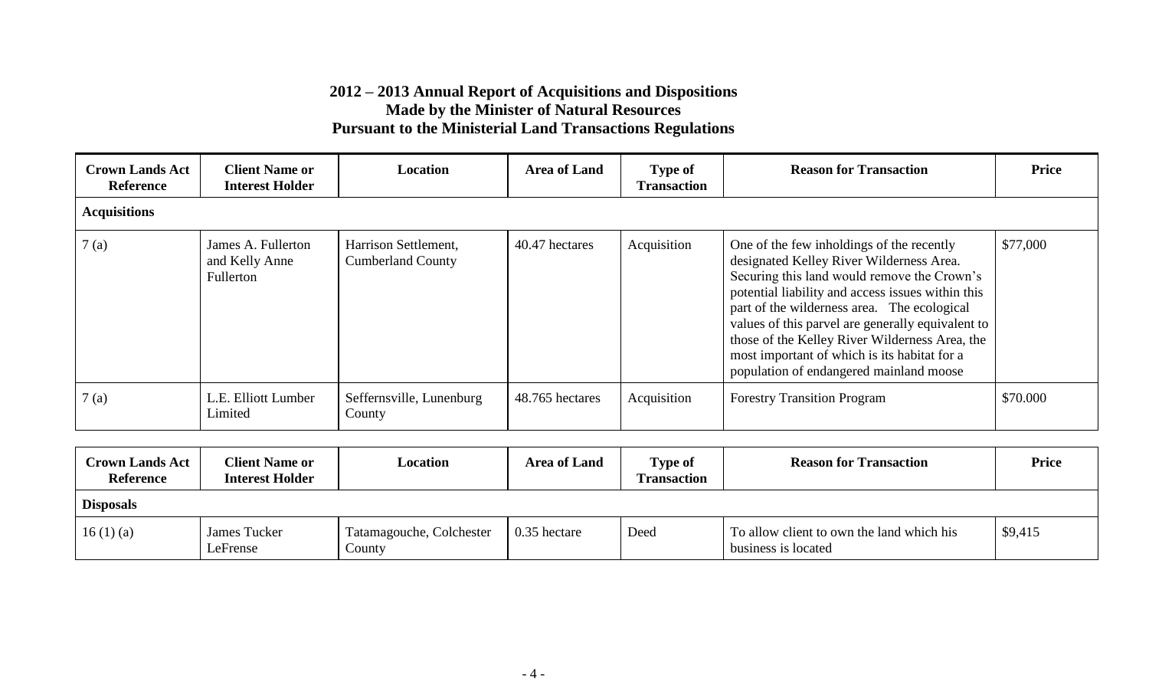| <b>Crown Lands Act</b><br><b>Reference</b> | <b>Client Name or</b><br><b>Interest Holder</b>   | Location                                         | <b>Area of Land</b> | <b>Type of</b><br><b>Transaction</b> | <b>Reason for Transaction</b>                                                                                                                                                                                                                                                                                                                                                                                                              | <b>Price</b> |
|--------------------------------------------|---------------------------------------------------|--------------------------------------------------|---------------------|--------------------------------------|--------------------------------------------------------------------------------------------------------------------------------------------------------------------------------------------------------------------------------------------------------------------------------------------------------------------------------------------------------------------------------------------------------------------------------------------|--------------|
| <b>Acquisitions</b>                        |                                                   |                                                  |                     |                                      |                                                                                                                                                                                                                                                                                                                                                                                                                                            |              |
| 7(a)                                       | James A. Fullerton<br>and Kelly Anne<br>Fullerton | Harrison Settlement,<br><b>Cumberland County</b> | 40.47 hectares      | Acquisition                          | One of the few inholdings of the recently<br>designated Kelley River Wilderness Area.<br>Securing this land would remove the Crown's<br>potential liability and access issues within this<br>part of the wilderness area. The ecological<br>values of this parvel are generally equivalent to<br>those of the Kelley River Wilderness Area, the<br>most important of which is its habitat for a<br>population of endangered mainland moose | \$77,000     |
| 7(a)                                       | L.E. Elliott Lumber<br>Limited                    | Seffernsville, Lunenburg<br>County               | 48.765 hectares     | Acquisition                          | <b>Forestry Transition Program</b>                                                                                                                                                                                                                                                                                                                                                                                                         | \$70.000     |

| <b>Crown Lands Act</b><br><b>Reference</b> | <b>Client Name or</b><br><b>Interest Holder</b> | Location                           | <b>Area of Land</b> | <b>Type of</b><br><b>Transaction</b> | <b>Reason for Transaction</b>                                    | <b>Price</b> |
|--------------------------------------------|-------------------------------------------------|------------------------------------|---------------------|--------------------------------------|------------------------------------------------------------------|--------------|
| <b>Disposals</b>                           |                                                 |                                    |                     |                                      |                                                                  |              |
| 16(1)(a)                                   | James Tucker<br>LeFrense                        | Tatamagouche, Colchester<br>County | 0.35 hectare        | Deed                                 | To allow client to own the land which his<br>business is located | \$9,415      |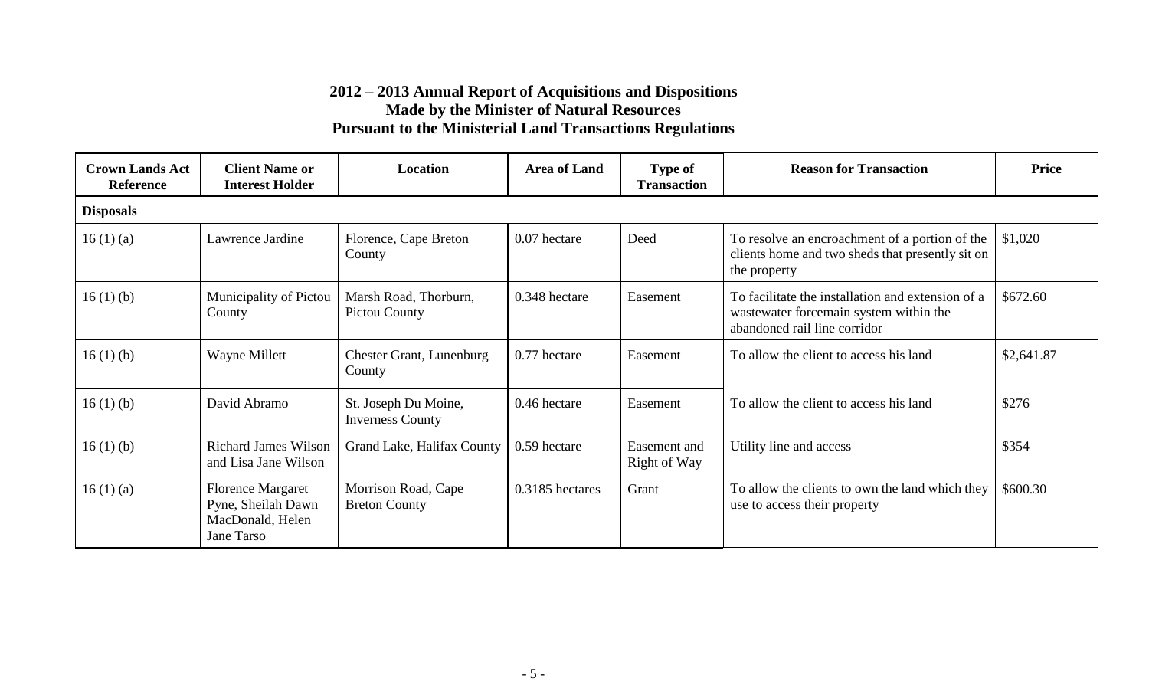| <b>Crown Lands Act</b><br><b>Reference</b> | <b>Client Name or</b><br><b>Interest Holder</b>                                  | Location                                        | <b>Area of Land</b> | <b>Type of</b><br><b>Transaction</b> | <b>Reason for Transaction</b>                                                                                               | <b>Price</b> |
|--------------------------------------------|----------------------------------------------------------------------------------|-------------------------------------------------|---------------------|--------------------------------------|-----------------------------------------------------------------------------------------------------------------------------|--------------|
| <b>Disposals</b>                           |                                                                                  |                                                 |                     |                                      |                                                                                                                             |              |
| 16(1)(a)                                   | Lawrence Jardine                                                                 | Florence, Cape Breton<br>County                 | 0.07 hectare        | Deed                                 | To resolve an encroachment of a portion of the<br>clients home and two sheds that presently sit on<br>the property          | \$1,020      |
| 16(1)(b)                                   | Municipality of Pictou<br>County                                                 | Marsh Road, Thorburn,<br>Pictou County          | 0.348 hectare       | Easement                             | To facilitate the installation and extension of a<br>wastewater forcemain system within the<br>abandoned rail line corridor | \$672.60     |
| 16(1)(b)                                   | <b>Wayne Millett</b>                                                             | <b>Chester Grant, Lunenburg</b><br>County       | 0.77 hectare        | Easement                             | To allow the client to access his land                                                                                      | \$2,641.87   |
| 16(1)(b)                                   | David Abramo                                                                     | St. Joseph Du Moine,<br><b>Inverness County</b> | 0.46 hectare        | Easement                             | To allow the client to access his land                                                                                      | \$276        |
| 16(1)(b)                                   | <b>Richard James Wilson</b><br>and Lisa Jane Wilson                              | Grand Lake, Halifax County                      | 0.59 hectare        | Easement and<br>Right of Way         | Utility line and access                                                                                                     | \$354        |
| 16(1)(a)                                   | <b>Florence Margaret</b><br>Pyne, Sheilah Dawn<br>MacDonald, Helen<br>Jane Tarso | Morrison Road, Cape<br><b>Breton County</b>     | 0.3185 hectares     | Grant                                | To allow the clients to own the land which they<br>use to access their property                                             | \$600.30     |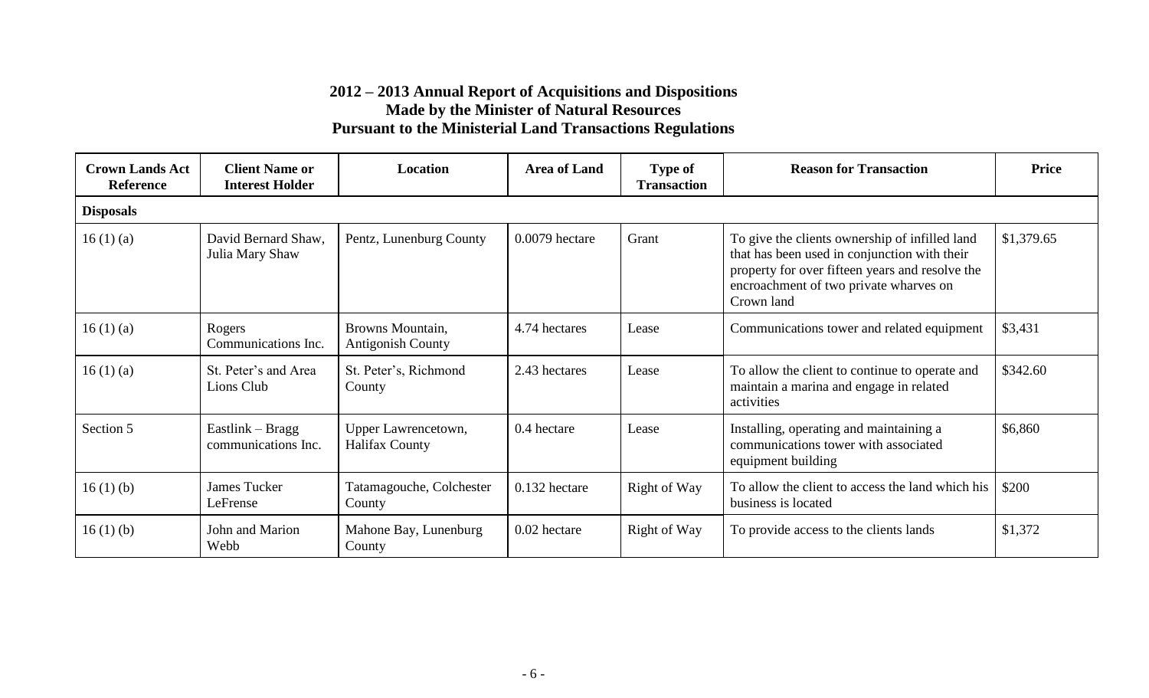| <b>Crown Lands Act</b><br><b>Reference</b> | <b>Client Name or</b><br><b>Interest Holder</b> | <b>Location</b>                              | <b>Area of Land</b> | <b>Type of</b><br><b>Transaction</b> | <b>Reason for Transaction</b>                                                                                                                                                                             | <b>Price</b> |
|--------------------------------------------|-------------------------------------------------|----------------------------------------------|---------------------|--------------------------------------|-----------------------------------------------------------------------------------------------------------------------------------------------------------------------------------------------------------|--------------|
| <b>Disposals</b>                           |                                                 |                                              |                     |                                      |                                                                                                                                                                                                           |              |
| 16(1)(a)                                   | David Bernard Shaw.<br>Julia Mary Shaw          | Pentz, Lunenburg County                      | $0.0079$ hectare    | Grant                                | To give the clients ownership of infilled land<br>that has been used in conjunction with their<br>property for over fifteen years and resolve the<br>encroachment of two private wharves on<br>Crown land | \$1,379.65   |
| 16(1)(a)                                   | Rogers<br>Communications Inc.                   | Browns Mountain,<br><b>Antigonish County</b> | 4.74 hectares       | Lease                                | Communications tower and related equipment                                                                                                                                                                | \$3,431      |
| 16(1)(a)                                   | St. Peter's and Area<br>Lions Club              | St. Peter's, Richmond<br>County              | 2.43 hectares       | Lease                                | To allow the client to continue to operate and<br>maintain a marina and engage in related<br>activities                                                                                                   | \$342.60     |
| Section 5                                  | Eastlink – Bragg<br>communications Inc.         | Upper Lawrencetown,<br><b>Halifax County</b> | 0.4 hectare         | Lease                                | Installing, operating and maintaining a<br>communications tower with associated<br>equipment building                                                                                                     | \$6,860      |
| 16(1)(b)                                   | James Tucker<br>LeFrense                        | Tatamagouche, Colchester<br>County           | 0.132 hectare       | Right of Way                         | To allow the client to access the land which his<br>business is located                                                                                                                                   | \$200        |
| 16(1)(b)                                   | John and Marion<br>Webb                         | Mahone Bay, Lunenburg<br>County              | 0.02 hectare        | Right of Way                         | To provide access to the clients lands                                                                                                                                                                    | \$1,372      |